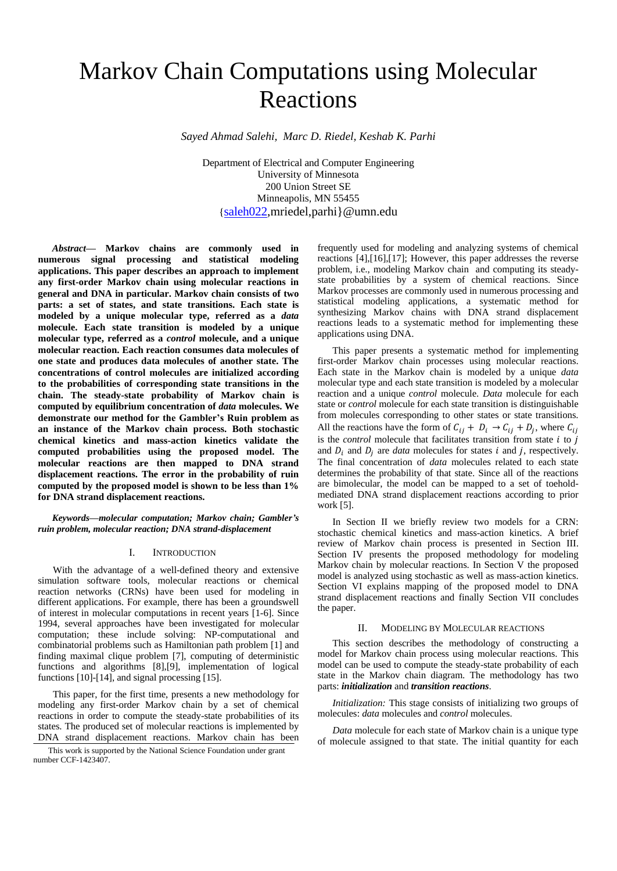# Markov Chain Computations using Molecular Reactions

*Sayed Ahmad Salehi, Marc D. Riedel, Keshab K. Parhi*

Department of Electrical and Computer Engineering University of Minnesota 200 Union Street SE Minneapolis, MN 55455 {[saleh022,mriedel,parhi}@umn.edu](mailto:sa.salehi@ec.iut.ac.ir,fattahi@cc.iut.ac.ir)

*Abstract***— Markov chains are commonly used in numerous signal processing and statistical modeling applications. This paper describes an approach to implement any first-order Markov chain using molecular reactions in general and DNA in particular. Markov chain consists of two parts: a set of states, and state transitions. Each state is modeled by a unique molecular type, referred as a** *data* **molecule. Each state transition is modeled by a unique molecular type, referred as a** *control* **molecule, and a unique molecular reaction. Each reaction consumes data molecules of one state and produces data molecules of another state. The concentrations of control molecules are initialized according to the probabilities of corresponding state transitions in the chain. The steady-state probability of Markov chain is computed by equilibrium concentration of** *data* **molecules. We demonstrate our method for the Gambler's Ruin problem as an instance of the Markov chain process. Both stochastic chemical kinetics and mass-action kinetics validate the computed probabilities using the proposed model. The molecular reactions are then mapped to DNA strand displacement reactions. The error in the probability of ruin computed by the proposed model is shown to be less than 1% for DNA strand displacement reactions.** 

*Keywords—molecular computation; Markov chain; Gambler's ruin problem, molecular reaction; DNA strand-displacement*

# I. INTRODUCTION

With the advantage of a well-defined theory and extensive simulation software tools, molecular reactions or chemical reaction networks (CRNs) have been used for modeling in different applications. For example, there has been a groundswell of interest in molecular computations in recent years [1-6]. Since 1994, several approaches have been investigated for molecular computation; these include solving: NP-computational and combinatorial problems such as Hamiltonian path problem [1] and finding maximal clique problem [7], computing of deterministic functions and algorithms [8],[9], implementation of logical functions [10]-[14], and signal processing [15].

This paper, for the first time, presents a new methodology for modeling any first-order Markov chain by a set of chemical reactions in order to compute the steady-state probabilities of its states. The produced set of molecular reactions is implemented by DNA strand displacement reactions. Markov chain has been

This work is supported by the National Science Foundation under grant number CCF-1423407.

frequently used for modeling and analyzing systems of chemical reactions [4],[16],[17]; However, this paper addresses the reverse problem, i.e., modeling Markov chain and computing its steadystate probabilities by a system of chemical reactions. Since Markov processes are commonly used in numerous processing and statistical modeling applications, a systematic method for synthesizing Markov chains with DNA strand displacement reactions leads to a systematic method for implementing these applications using DNA.

This paper presents a systematic method for implementing first-order Markov chain processes using molecular reactions. Each state in the Markov chain is modeled by a unique *data* molecular type and each state transition is modeled by a molecular reaction and a unique *control* molecule. *Data* molecule for each state or *control* molecule for each state transition is distinguishable from molecules corresponding to other states or state transitions. All the reactions have the form of  $C_{ij} + D_i \rightarrow C_{ij} + D_j$ , where  $C_{ij}$ is the *control* molecule that facilitates transition from state  $i$  to  $j$ and  $D_i$  and  $D_j$  are *data* molecules for states *i* and *j*, respectively. The final concentration of *data* molecules related to each state determines the probability of that state. Since all of the reactions are bimolecular, the model can be mapped to a set of toeholdmediated DNA strand displacement reactions according to prior work [5].

In Section II we briefly review two models for a CRN: stochastic chemical kinetics and mass-action kinetics. A brief review of Markov chain process is presented in Section III. Section IV presents the proposed methodology for modeling Markov chain by molecular reactions. In Section V the proposed model is analyzed using stochastic as well as mass-action kinetics. Section VI explains mapping of the proposed model to DNA strand displacement reactions and finally Section VII concludes the paper.

# II. MODELING BY MOLECULAR REACTIONS

This section describes the methodology of constructing a model for Markov chain process using molecular reactions. This model can be used to compute the steady-state probability of each state in the Markov chain diagram. The methodology has two parts: *initialization* and *transition reactions*.

*Initialization:* This stage consists of initializing two groups of molecules: *data* molecules and *control* molecules.

*Data* molecule for each state of Markov chain is a unique type of molecule assigned to that state. The initial quantity for each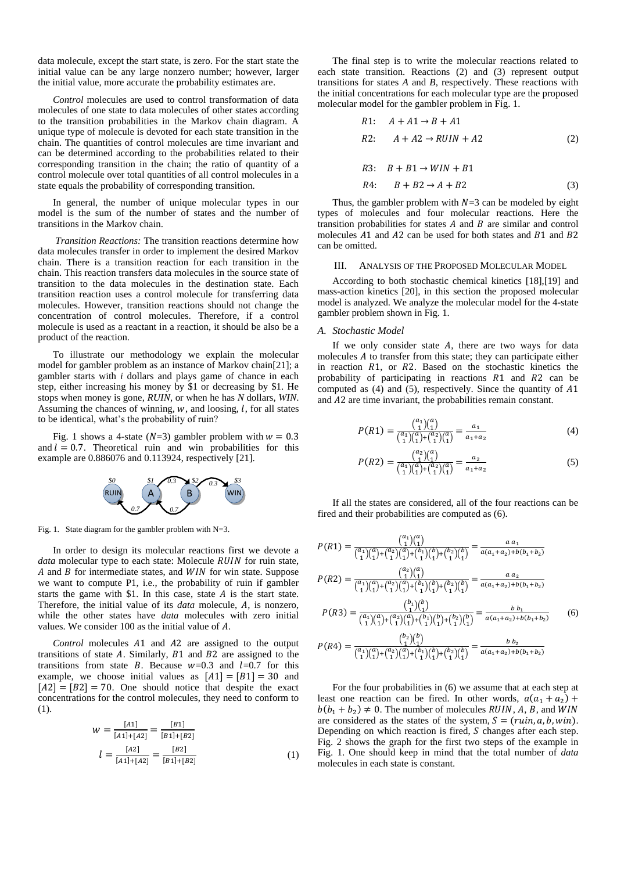data molecule, except the start state, is zero. For the start state the initial value can be any large nonzero number; however, larger the initial value, more accurate the probability estimates are.

*Control* molecules are used to control transformation of data molecules of one state to data molecules of other states according to the transition probabilities in the Markov chain diagram. A unique type of molecule is devoted for each state transition in the chain. The quantities of control molecules are time invariant and can be determined according to the probabilities related to their corresponding transition in the chain; the ratio of quantity of a control molecule over total quantities of all control molecules in a state equals the probability of corresponding transition.

In general, the number of unique molecular types in our model is the sum of the number of states and the number of transitions in the Markov chain.

*Transition Reactions:* The transition reactions determine how data molecules transfer in order to implement the desired Markov chain. There is a transition reaction for each transition in the chain. This reaction transfers data molecules in the source state of transition to the data molecules in the destination state. Each transition reaction uses a control molecule for transferring data molecules. However, transition reactions should not change the concentration of control molecules. Therefore, if a control molecule is used as a reactant in a reaction, it should be also be a product of the reaction.

To illustrate our methodology we explain the molecular model for gambler problem as an instance of Markov chain[21]; a gambler starts with *i* dollars and plays game of chance in each step, either increasing his money by \$1 or decreasing by \$1. He stops when money is gone, *RUIN*, or when he has *N* dollars, *WIN*. Assuming the chances of winning,  $w$ , and loosing,  $l$ , for all states to be identical, what's the probability of ruin?

Fig. 1 shows a 4-state ( $N=3$ ) gambler problem with  $w = 0.3$ and  $l = 0.7$ . Theoretical ruin and win probabilities for this example are 0.886076 and 0.113924, respectively [21].



Fig. 1. State diagram for the gambler problem with N=3.

In order to design its molecular reactions first we devote a *data* molecular type to each state: Molecule *RUIN* for ruin state,  $A$  and  $B$  for intermediate states, and  $WIN$  for win state. Suppose we want to compute P1, i.e., the probability of ruin if gambler starts the game with  $$1$ . In this case, state  $A$  is the start state. Therefore, the initial value of its *data* molecule, A, is nonzero, while the other states have *data* molecules with zero initial values. We consider  $100$  as the initial value of  $A$ .

*Control* molecules A1 and A2 are assigned to the output transitions of state  $A$ . Similarly,  $B1$  and  $B2$  are assigned to the transitions from state B. Because  $w=0.3$  and  $l=0.7$  for this example, we choose initial values as  $[A1] = [B1] = 30$  and  $[A2] = [B2] = 70$ . One should notice that despite the exact concentrations for the control molecules, they need to conform to (1).

$$
w = \frac{[A1]}{[A1]+[A2]} = \frac{[B1]}{[B1]+[B2]}
$$

$$
l = \frac{[A2]}{[A1]+[A2]} = \frac{[B2]}{[B1]+[B2]}
$$
(1)

The final step is to write the molecular reactions related to each state transition. Reactions (2) and (3) represent output transitions for states *A* and *B*, respectively. These reactions with the initial concentrations for each molecular type are the proposed molecular model for the gambler problem in Fig. 1.

R1: 
$$
A + A1 \rightarrow B + A1
$$
  
R2:  $A + A2 \rightarrow RUIN + A2$  (2)

R3: 
$$
B + B1 \rightarrow WIN + B1
$$
  
R4:  $B + B2 \rightarrow A + B2$  (3)

Thus, the gambler problem with  $N=3$  can be modeled by eight types of molecules and four molecular reactions. Here the transition probabilities for states  $A$  and  $B$  are similar and control molecules  $\overline{A}$  and  $\overline{A}$  can be used for both states and  $\overline{B}$  and  $\overline{B}$  and  $\overline{B}$ can be omitted.

# III. ANALYSIS OF THE PROPOSED MOLECULAR MODEL

According to both stochastic chemical kinetics [18],[19] and mass-action kinetics [20], in this section the proposed molecular model is analyzed. We analyze the molecular model for the 4-state gambler problem shown in Fig. 1.

#### *A. Stochastic Model*

If we only consider state  $A$ , there are two ways for data molecules  $A$  to transfer from this state; they can participate either in reaction  $R1$ , or  $R2$ . Based on the stochastic kinetics the probability of participating in reactions  $R1$  and  $R2$  can be computed as  $(4)$  and  $(5)$ , respectively. Since the quantity of  $A1$ and A2 are time invariant, the probabilities remain constant.

$$
P(R1) = \frac{\binom{a_1}{1}\binom{a}{1}}{\binom{a_1}{1}\binom{a}{1}\binom{a_2}{1}\binom{a}{1}} = \frac{a_1}{a_1 + a_2} \tag{4}
$$

$$
P(R2) = \frac{\binom{a_2}{1}\binom{a}{1}}{\binom{a_1}{1}\binom{a}{1}\binom{a_2}{1}\binom{a}{1}} = \frac{a_2}{a_1 + a_2} \tag{5}
$$

If all the states are considered, all of the four reactions can be fired and their probabilities are computed as (6).

$$
P(R1) = \frac{\binom{a_1}{1}\binom{a}{1}}{\binom{a_1}{1}\binom{a_2}{1}\binom{a_1}{1}\binom{b_1}{1}\binom{b_2}{1}\binom{b_1}{1}} = \frac{a a_1}{a(a_1 + a_2) + b(b_1 + b_2)}
$$
  
\n
$$
P(R2) = \frac{\binom{a_2}{1}\binom{a}{1}}{\binom{a_1}{1}\binom{a_2}{1}\binom{a_1}{1}\binom{b_1}{1}\binom{b_2}{1}\binom{b_2}{1}} = \frac{a a_2}{a(a_1 + a_2) + b(b_1 + b_2)}
$$
  
\n
$$
P(R3) = \frac{\binom{b_1}{1}\binom{b_1}{1}\binom{b_1}{1}\binom{b_1}{1}\binom{b_1}{1}\binom{b_2}{1}\binom{b_2}{1}}{a(a_1 + a_2) + b(b_1 + b_2)}
$$
  
\n
$$
P(R4) = \frac{\binom{b_2}{1}\binom{b_1}{1}\binom{a_1}{1}\binom{b_1}{1}\binom{b_1}{1}\binom{b_2}{1}\binom{b_2}{1}}{a(a_1 + a_2) + b(b_1 + b_2)}
$$
  
\n
$$
P(R4) = \frac{\binom{b_2}{1}\binom{b_1}{1}\binom{a_1}{1}\binom{a_1}{1}\binom{b_1}{1}\binom{b_2}{1}\binom{b_2}{1}}{a(a_1 + a_2) + b(b_1 + b_2)}
$$
  
\n(6)

For the four probabilities in (6) we assume that at each step at least one reaction can be fired. In other words,  $a(a_1 + a_2)$  +  $b(b_1 + b_2) \neq 0$ . The number of molecules RUIN, A, B, and WIN are considered as the states of the system,  $S = (ruin, a, b, win)$ . Depending on which reaction is fired,  $S$  changes after each step. Fig. 2 shows the graph for the first two steps of the example in Fig. 1. One should keep in mind that the total number of *data* molecules in each state is constant.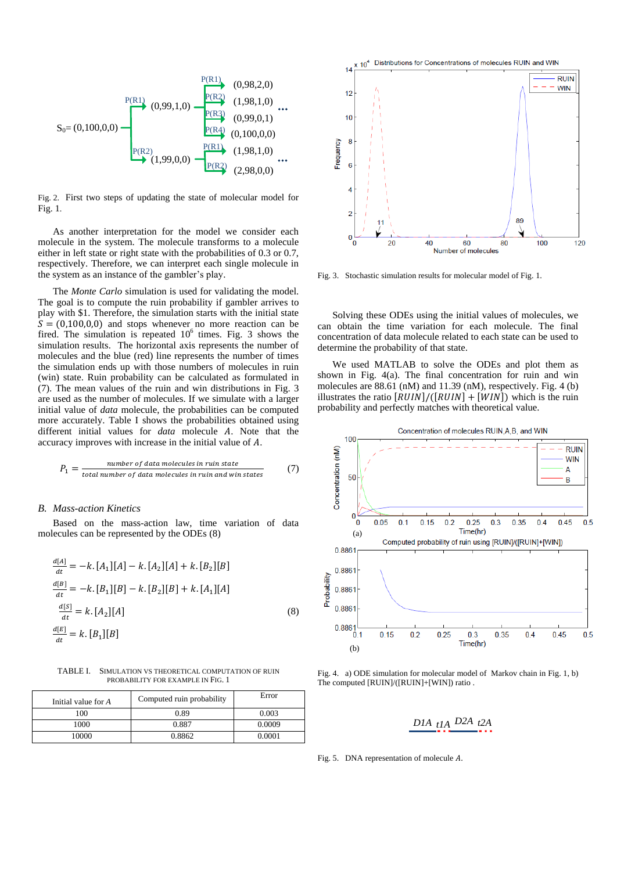

Fig. 2. First two steps of updating the state of molecular model for Fig. 1.

As another interpretation for the model we consider each molecule in the system. The molecule transforms to a molecule either in left state or right state with the probabilities of 0.3 or 0.7, respectively. Therefore, we can interpret each single molecule in the system as an instance of the gambler's play.

The *Monte Carlo* simulation is used for validating the model. The goal is to compute the ruin probability if gambler arrives to play with \$1. Therefore, the simulation starts with the initial state  $S = (0,100,0,0)$  and stops whenever no more reaction can be fired. The simulation is repeated  $10^6$  times. Fig. 3 shows the simulation results. The horizontal axis represents the number of molecules and the blue (red) line represents the number of times the simulation ends up with those numbers of molecules in ruin (win) state. Ruin probability can be calculated as formulated in (7). The mean values of the ruin and win distributions in Fig. 3 are used as the number of molecules. If we simulate with a larger initial value of *data* molecule, the probabilities can be computed more accurately. Table I shows the probabilities obtained using different initial values for *data* molecule A. Note that the accuracy improves with increase in the initial value of  $A$ .

$$
P_1 = \frac{number\ of\ data\ molecules\ in\ ruin\ state}{total\ number\ of\ data\ molecules\ in\ ruin\ and\ win\ states} \tag{7}
$$

# *B. Mass-action Kinetics*

Based on the mass-action law, time variation of data molecules can be represented by the ODEs (8)

$$
\frac{d[A]}{dt} = -k \cdot [A_1][A] - k \cdot [A_2][A] + k \cdot [B_2][B]
$$
  
\n
$$
\frac{d[B]}{dt} = -k \cdot [B_1][B] - k \cdot [B_2][B] + k \cdot [A_1][A]
$$
  
\n
$$
\frac{d[S]}{dt} = k \cdot [A_2][A]
$$
  
\n
$$
\frac{d[E]}{dt} = k \cdot [B_1][B]
$$
\n(8)

TABLE I. SIMULATION VS THEORETICAL COMPUTATION OF RUIN PROBABILITY FOR EXAMPLE IN FIG. 1

| Initial value for A | Computed ruin probability | Error  |
|---------------------|---------------------------|--------|
| 100                 | 0.89                      | 0.003  |
| 1000                | 0.887                     | 0.0009 |
| 10000               | 0.8862                    | 0.0001 |



Fig. 3. Stochastic simulation results for molecular model of Fig. 1.

Solving these ODEs using the initial values of molecules, we can obtain the time variation for each molecule. The final concentration of data molecule related to each state can be used to determine the probability of that state.

We used MATLAB to solve the ODEs and plot them as shown in Fig. 4(a). The final concentration for ruin and win molecules are 88.61 (nM) and 11.39 (nM), respectively. Fig. 4 (b) illustrates the ratio  $[RUIN]/([RUIN] + [WIN])$  which is the ruin probability and perfectly matches with theoretical value.



Fig. 4. a) ODE simulation for molecular model of Markov chain in Fig. 1, b) The computed [RUIN]/([RUIN]+[WIN]) ratio .

$$
DIA_{t1}A_{t2}A_{t2}A_{t3}
$$

Fig. 5. DNA representation of molecule  $A$ .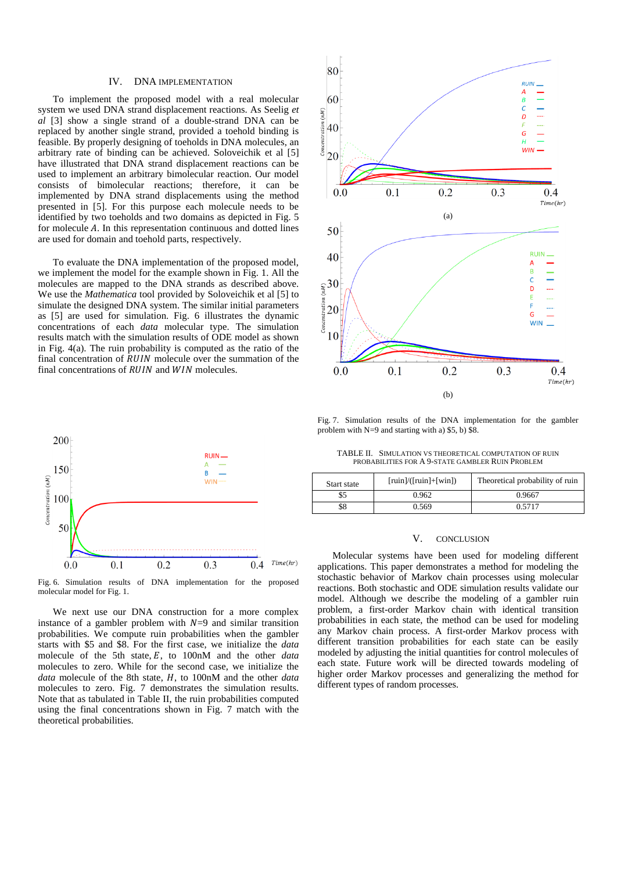#### IV. DNA IMPLEMENTATION

To implement the proposed model with a real molecular system we used DNA strand displacement reactions. As Seelig *et al* [3] show a single strand of a double-strand DNA can be replaced by another single strand, provided a toehold binding is feasible. By properly designing of toeholds in DNA molecules, an arbitrary rate of binding can be achieved. Soloveichik et al [5] have illustrated that DNA strand displacement reactions can be used to implement an arbitrary bimolecular reaction. Our model consists of bimolecular reactions; therefore, it can be implemented by DNA strand displacements using the method presented in [5]. For this purpose each molecule needs to be identified by two toeholds and two domains as depicted in Fig. 5 for molecule  $A$ . In this representation continuous and dotted lines are used for domain and toehold parts, respectively.

To evaluate the DNA implementation of the proposed model, we implement the model for the example shown in Fig. 1. All the molecules are mapped to the DNA strands as described above. We use the *Mathematica* tool provided by Soloveichik et al [5] to simulate the designed DNA system. The similar initial parameters as [5] are used for simulation. Fig. 6 illustrates the dynamic concentrations of each *data* molecular type. The simulation results match with the simulation results of ODE model as shown in Fig. 4(a). The ruin probability is computed as the ratio of the final concentration of  $RUIN$  molecule over the summation of the final concentrations of  $RUIN$  and  $WIN$  molecules.



Fig. 6. Simulation results of DNA implementation for the proposed molecular model for Fig. 1.

We next use our DNA construction for a more complex instance of a gambler problem with  $N=9$  and similar transition probabilities. We compute ruin probabilities when the gambler starts with \$5 and \$8. For the first case, we initialize the *data* molecule of the 5th state, E, to 100nM and the other *data* molecules to zero. While for the second case, we initialize the *data* molecule of the 8th state, H, to 100nM and the other *data* molecules to zero. Fig. 7 demonstrates the simulation results. Note that as tabulated in Table II, the ruin probabilities computed using the final concentrations shown in Fig. 7 match with the theoretical probabilities.



Fig. 7. Simulation results of the DNA implementation for the gambler problem with  $N=9$  and starting with a) \$5, b) \$8.

TABLE II. SIMULATION VS THEORETICAL COMPUTATION OF RUIN PROBABILITIES FOR A 9-STATE GAMBLER RUIN PROBLEM

| Start state | $[\min]/([\min] + [\min])$ | Theoretical probability of ruin |
|-------------|----------------------------|---------------------------------|
| \$5         | 0.962                      | 0.9667                          |
| \$8         | 0.569                      | በ 5717                          |

# V. CONCLUSION

Molecular systems have been used for modeling different applications. This paper demonstrates a method for modeling the stochastic behavior of Markov chain processes using molecular reactions. Both stochastic and ODE simulation results validate our model. Although we describe the modeling of a gambler ruin problem, a first-order Markov chain with identical transition probabilities in each state, the method can be used for modeling any Markov chain process. A first-order Markov process with different transition probabilities for each state can be easily modeled by adjusting the initial quantities for control molecules of each state. Future work will be directed towards modeling of higher order Markov processes and generalizing the method for different types of random processes.